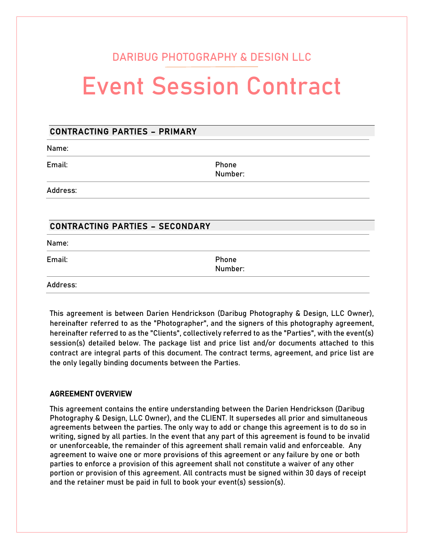# DARIBUG PHOTOGRAPHY & DESIGN LLC

# Event Session Contract

### CONTRACTING PARTIES – PRIMARY

Name:

Email: Phone

Number:

Address:

## CONTRACTING PARTIES – SECONDARY

Name:

Email: Phone Number:

Address:

This agreement is between Darien Hendrickson (Daribug Photography & Design, LLC Owner), hereinafter referred to as the "Photographer", and the signers of this photography agreement, hereinafter referred to as the "Clients", collectively referred to as the "Parties", with the event(s) session(s) detailed below. The package list and price list and/or documents attached to this contract are integral parts of this document. The contract terms, agreement, and price list are the only legally binding documents between the Parties.

#### AGREEMENT OVERVIEW

This agreement contains the entire understanding between the Darien Hendrickson (Daribug Photography & Design, LLC Owner), and the CLIENT. It supersedes all prior and simultaneous agreements between the parties. The only way to add or change this agreement is to do so in writing, signed by all parties. In the event that any part of this agreement is found to be invalid or unenforceable, the remainder of this agreement shall remain valid and enforceable. Any agreement to waive one or more provisions of this agreement or any failure by one or both parties to enforce a provision of this agreement shall not constitute a waiver of any other portion or provision of this agreement. All contracts must be signed within 30 days of receipt and the retainer must be paid in full to book your event(s) session(s).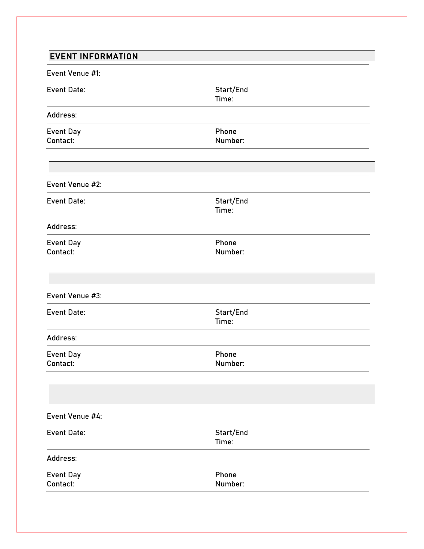| <b>EVENT INFORMATION</b>     |                    |  |
|------------------------------|--------------------|--|
| Event Venue #1:              |                    |  |
| <b>Event Date:</b>           | Start/End<br>Time: |  |
| Address:                     |                    |  |
| Event Day<br>Contact:        | Phone<br>Number:   |  |
| Event Venue #2:              |                    |  |
| <b>Event Date:</b>           | Start/End<br>Time: |  |
| Address:                     |                    |  |
| <b>Event Day</b><br>Contact: | Phone<br>Number:   |  |
| Event Venue #3:              |                    |  |
| <b>Event Date:</b>           | Start/End<br>Time: |  |
| Address:                     |                    |  |
| Event Day<br>Contact:        | Phone<br>Number:   |  |
|                              |                    |  |
| Event Venue #4:              |                    |  |
| Event Date:                  | Start/End<br>Time: |  |
| Address:                     |                    |  |
| <b>Event Day</b><br>Contact: | Phone<br>Number:   |  |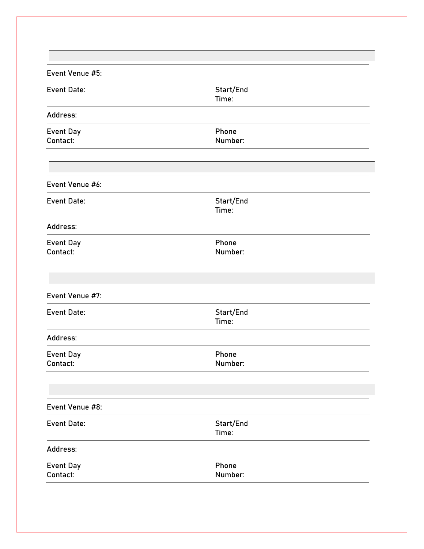| Start/End<br>Time: |  |
|--------------------|--|
|                    |  |
| Phone<br>Number:   |  |
|                    |  |
| Start/End<br>Time: |  |
|                    |  |
| Phone<br>Number:   |  |
|                    |  |
|                    |  |
| Start/End<br>Time: |  |
|                    |  |
| Phone<br>Number:   |  |
|                    |  |
|                    |  |
| Start/End<br>Time: |  |
|                    |  |
| Phone<br>Number:   |  |
|                    |  |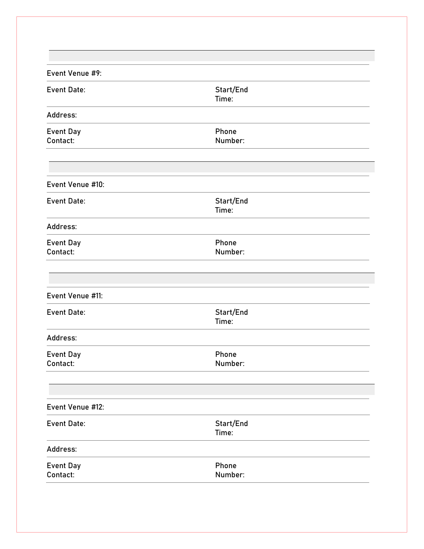| Event Venue #9:              |                    |  |
|------------------------------|--------------------|--|
| <b>Event Date:</b>           | Start/End<br>Time: |  |
| Address:                     |                    |  |
| <b>Event Day</b><br>Contact: | Phone<br>Number:   |  |
| Event Venue #10:             |                    |  |
| <b>Event Date:</b>           | Start/End<br>Time: |  |
| Address:                     |                    |  |
| <b>Event Day</b><br>Contact: | Phone<br>Number:   |  |
| Event Venue #11:             |                    |  |
| <b>Event Date:</b>           | Start/End<br>Time: |  |
| Address:                     |                    |  |
| <b>Event Day</b><br>Contact: | Phone<br>Number:   |  |
|                              |                    |  |
| Event Venue #12:             |                    |  |
| <b>Event Date:</b>           | Start/End<br>Time: |  |
| Address:                     |                    |  |
| <b>Event Day</b><br>Contact: | Phone<br>Number:   |  |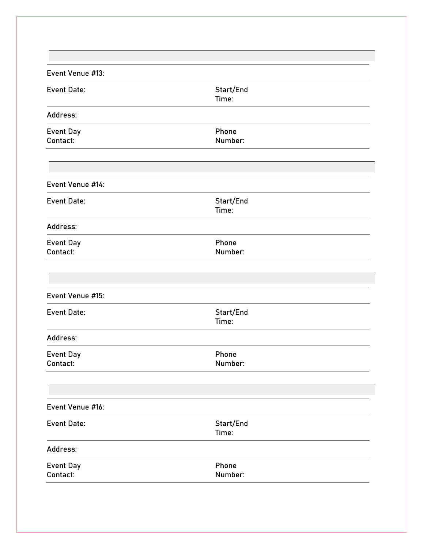| Event Venue #13:             |                    |  |
|------------------------------|--------------------|--|
| <b>Event Date:</b>           | Start/End<br>Time: |  |
| Address:                     |                    |  |
| <b>Event Day</b><br>Contact: | Phone<br>Number:   |  |
| Event Venue #14:             |                    |  |
| <b>Event Date:</b>           | Start/End<br>Time: |  |
| Address:                     |                    |  |
| <b>Event Day</b><br>Contact: | Phone<br>Number:   |  |
| Event Venue #15:             |                    |  |
| <b>Event Date:</b>           | Start/End<br>Time: |  |
| Address:                     |                    |  |
| <b>Event Day</b><br>Contact: | Phone<br>Number:   |  |
|                              |                    |  |
| Event Venue #16:             |                    |  |
| <b>Event Date:</b>           | Start/End<br>Time: |  |
| Address:                     |                    |  |
| <b>Event Day</b><br>Contact: | Phone<br>Number:   |  |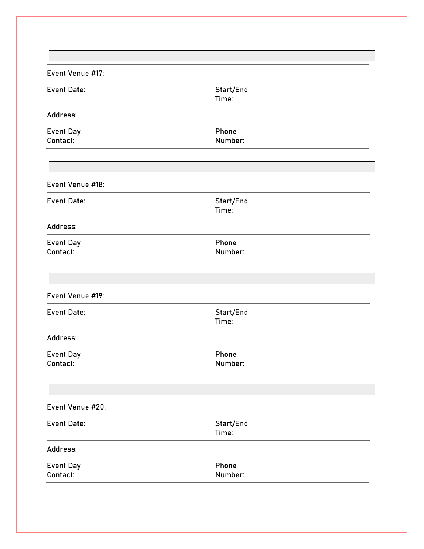| Event Venue #17:             |                    |  |
|------------------------------|--------------------|--|
| <b>Event Date:</b>           | Start/End<br>Time: |  |
| Address:                     |                    |  |
| <b>Event Day</b><br>Contact: | Phone<br>Number:   |  |
| Event Venue #18:             |                    |  |
| <b>Event Date:</b>           | Start/End<br>Time: |  |
| Address:                     |                    |  |
| <b>Event Day</b><br>Contact: | Phone<br>Number:   |  |
| Event Venue #19:             |                    |  |
| <b>Event Date:</b>           | Start/End<br>Time: |  |
| Address:                     |                    |  |
| <b>Event Day</b><br>Contact: | Phone<br>Number:   |  |
|                              |                    |  |
| Event Venue #20:             |                    |  |
| <b>Event Date:</b>           | Start/End<br>Time: |  |
| Address:                     |                    |  |
| <b>Event Day</b><br>Contact: | Phone<br>Number:   |  |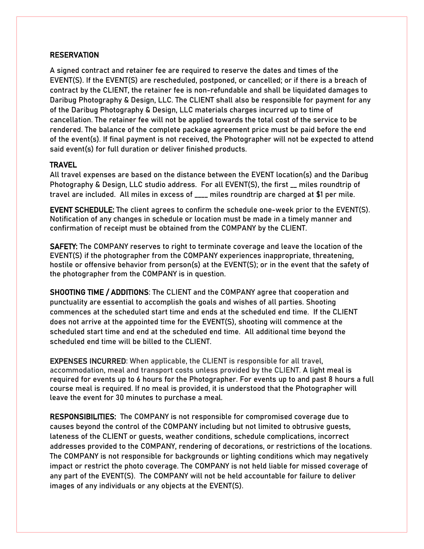#### **RESERVATION**

A signed contract and retainer fee are required to reserve the dates and times of the EVENT(S). If the EVENT(S) are rescheduled, postponed, or cancelled; or if there is a breach of contract by the CLIENT, the retainer fee is non-refundable and shall be liquidated damages to Daribug Photography & Design, LLC. The CLIENT shall also be responsible for payment for any of the Daribug Photography & Design, LLC materials charges incurred up to time of cancellation. The retainer fee will not be applied towards the total cost of the service to be rendered. The balance of the complete package agreement price must be paid before the end of the event(s). If final payment is not received, the Photographer will not be expected to attend said event(s) for full duration or deliver finished products.

#### **TRAVEL**

All travel expenses are based on the distance between the EVENT location(s) and the Daribug Photography & Design, LLC studio address. For all EVENT(S), the first \_\_ miles roundtrip of travel are included. All miles in excess of \_\_\_\_ miles roundtrip are charged at \$1 per mile.

EVENT SCHEDULE: The client agrees to confirm the schedule one-week prior to the EVENT(S). Notification of any changes in schedule or location must be made in a timely manner and confirmation of receipt must be obtained from the COMPANY by the CLIENT.

SAFETY: The COMPANY reserves to right to terminate coverage and leave the location of the EVENT(S) if the photographer from the COMPANY experiences inappropriate, threatening, hostile or offensive behavior from person(s) at the EVENT(S); or in the event that the safety of the photographer from the COMPANY is in question.

SHOOTING TIME / ADDITIONS: The CLIENT and the COMPANY agree that cooperation and punctuality are essential to accomplish the goals and wishes of all parties. Shooting commences at the scheduled start time and ends at the scheduled end time. If the CLIENT does not arrive at the appointed time for the EVENT(S), shooting will commence at the scheduled start time and end at the scheduled end time. All additional time beyond the scheduled end time will be billed to the CLIENT.

EXPENSES INCURRED: When applicable, the CLIENT is responsible for all travel, accommodation, meal and transport costs unless provided by the CLIENT. A light meal is required for events up to 6 hours for the Photographer. For events up to and past 8 hours a full course meal is required. If no meal is provided, it is understood that the Photographer will leave the event for 30 minutes to purchase a meal.

RESPONSIBILITIES: The COMPANY is not responsible for compromised coverage due to causes beyond the control of the COMPANY including but not limited to obtrusive guests, lateness of the CLIENT or guests, weather conditions, schedule complications, incorrect addresses provided to the COMPANY, rendering of decorations, or restrictions of the locations. The COMPANY is not responsible for backgrounds or lighting conditions which may negatively impact or restrict the photo coverage. The COMPANY is not held liable for missed coverage of any part of the EVENT(S). The COMPANY will not be held accountable for failure to deliver images of any individuals or any objects at the EVENT(S).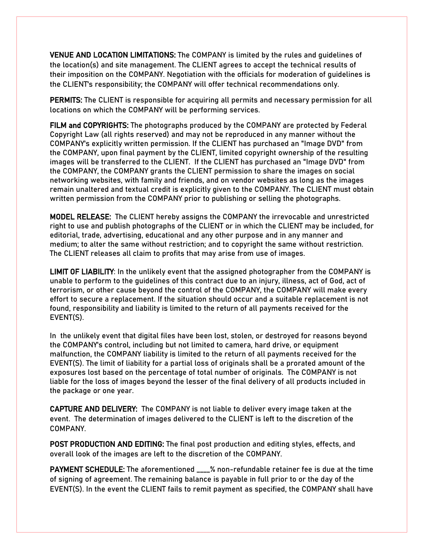VENUE AND LOCATION LIMITATIONS: The COMPANY is limited by the rules and guidelines of the location(s) and site management. The CLIENT agrees to accept the technical results of their imposition on the COMPANY. Negotiation with the officials for moderation of guidelines is the CLIENT's responsibility; the COMPANY will offer technical recommendations only.

PERMITS: The CLIENT is responsible for acquiring all permits and necessary permission for all locations on which the COMPANY will be performing services.

FILM and COPYRIGHTS: The photographs produced by the COMPANY are protected by Federal Copyright Law (all rights reserved) and may not be reproduced in any manner without the COMPANY's explicitly written permission. If the CLIENT has purchased an "Image DVD" from the COMPANY, upon final payment by the CLIENT, limited copyright ownership of the resulting images will be transferred to the CLIENT. If the CLIENT has purchased an "Image DVD" from the COMPANY, the COMPANY grants the CLIENT permission to share the images on social networking websites, with family and friends, and on vendor websites as long as the images remain unaltered and textual credit is explicitly given to the COMPANY. The CLIENT must obtain written permission from the COMPANY prior to publishing or selling the photographs.

MODEL RELEASE: The CLIENT hereby assigns the COMPANY the irrevocable and unrestricted right to use and publish photographs of the CLIENT or in which the CLIENT may be included, for editorial, trade, advertising, educational and any other purpose and in any manner and medium; to alter the same without restriction; and to copyright the same without restriction. The CLIENT releases all claim to profits that may arise from use of images.

LIMIT OF LIABILITY: In the unlikely event that the assigned photographer from the COMPANY is unable to perform to the guidelines of this contract due to an injury, illness, act of God, act of terrorism, or other cause beyond the control of the COMPANY, the COMPANY will make every effort to secure a replacement. If the situation should occur and a suitable replacement is not found, responsibility and liability is limited to the return of all payments received for the EVENT(S).

In the unlikely event that digital files have been lost, stolen, or destroyed for reasons beyond the COMPANY's control, including but not limited to camera, hard drive, or equipment malfunction, the COMPANY liability is limited to the return of all payments received for the EVENT(S). The limit of liability for a partial loss of originals shall be a prorated amount of the exposures lost based on the percentage of total number of originals. The COMPANY is not liable for the loss of images beyond the lesser of the final delivery of all products included in the package or one year.

CAPTURE AND DELIVERY: The COMPANY is not liable to deliver every image taken at the event. The determination of images delivered to the CLIENT is left to the discretion of the COMPANY.

POST PRODUCTION AND EDITING: The final post production and editing styles, effects, and overall look of the images are left to the discretion of the COMPANY.

PAYMENT SCHEDULE: The aforementioned \_\_\_\_% non-refundable retainer fee is due at the time of signing of agreement. The remaining balance is payable in full prior to or the day of the EVENT(S). In the event the CLIENT fails to remit payment as specified, the COMPANY shall have